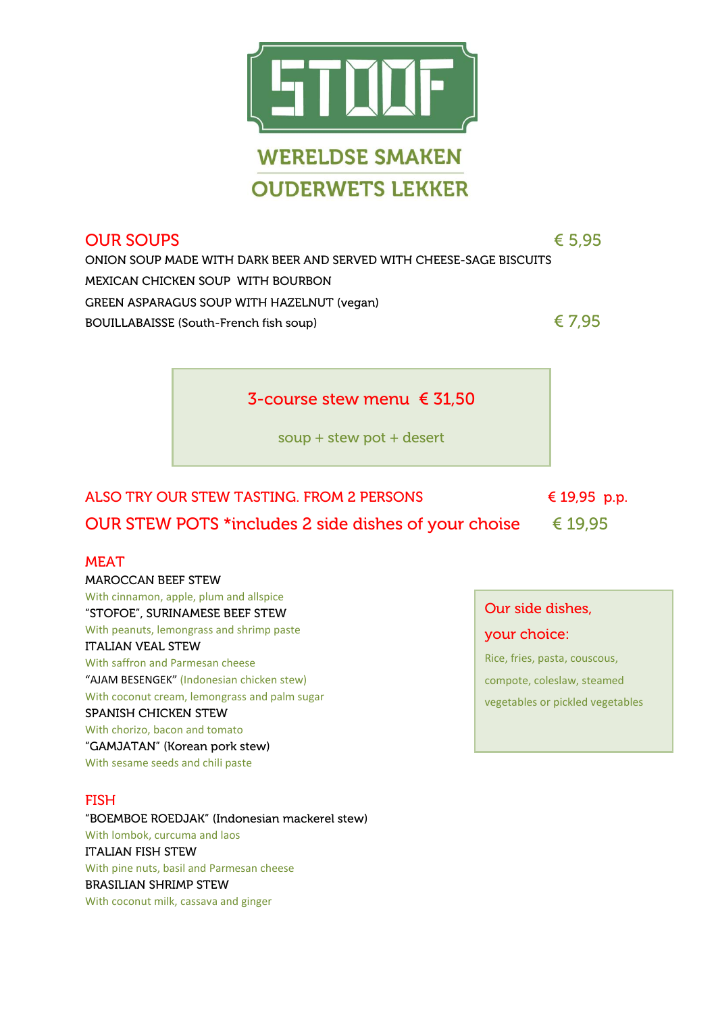

## $\text{OUR} \text{S} \cup \text{PS}$  and  $\text{S} \cup \text{PS}$  and  $\text{S} \cup \text{PS}$  and  $\text{S} \cup \text{PS}$  and  $\text{S} \cup \text{PS}$  and  $\text{S} \cup \text{PS}$  and  $\text{S} \cup \text{PS}$  and  $\text{S} \cup \text{PS}$  and  $\text{S} \cup \text{PS}$  and  $\text{S} \cup \text{PS}$  and  $\text{S} \cup \text{PS}$  and  $\text{S} \$

ONION SOUP MADE WITH DARK BEER AND SERVED WITH CHEESE-SAGE BISCUITS MEXICAN CHICKEN SOUP WITH BOURBON GREEN ASPARAGUS SOUP WITH HAZELNUT (vegan) BOUILLABAISSE (South-French fish soup)  $\epsilon$  7,95

soup + stew pot + desert

3-course stew menu € 31,50

# ALSO TRY OUR STEW TASTING. FROM 2 PERSONS  $\epsilon$  19,95 p.p. OUR STEW POTS \*includes 2 side dishes of your choise  $\epsilon$  19,95

## MEAT

MAROCCAN BEEF STEW With cinnamon, apple, plum and allspice "STOFOE", SURINAMESE BEEF STEW With peanuts, lemongrass and shrimp paste ITALIAN VEAL STEW With saffron and Parmesan cheese "AJAM BESENGEK" (Indonesian chicken stew) With coconut cream, lemongrass and palm sugar SPANISH CHICKEN STEW With chorizo, bacon and tomato "GAMJATAN" (Korean pork stew) With sesame seeds and chili paste

## FISH

"BOEMBOE ROEDJAK" (Indonesian mackerel stew) With lombok, curcuma and laos ITALIAN FISH STEW With pine nuts, basil and Parmesan cheese BRASILIAN SHRIMP STEW With coconut milk, cassava and ginger

## Our side dishes,

#### your choice:

Rice, fries, pasta, couscous, compote, coleslaw, steamed vegetables or pickled vegetables